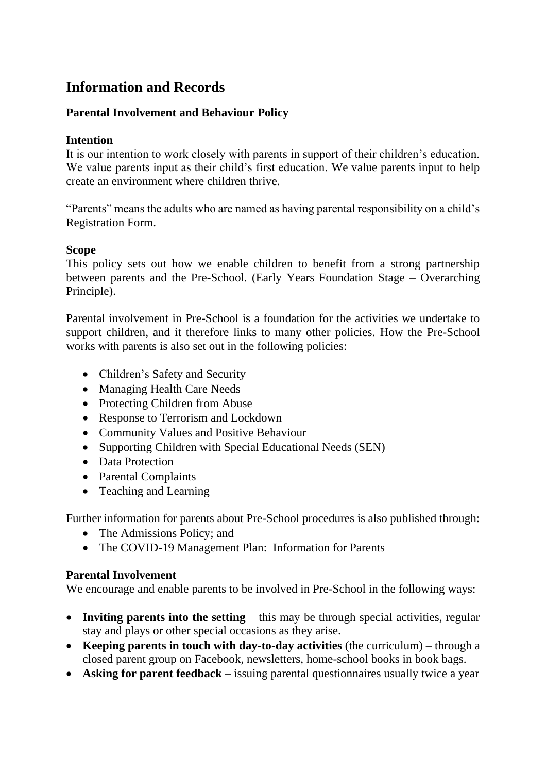# **Information and Records**

## **Parental Involvement and Behaviour Policy**

### **Intention**

It is our intention to work closely with parents in support of their children's education. We value parents input as their child's first education. We value parents input to help create an environment where children thrive.

"Parents" means the adults who are named as having parental responsibility on a child's Registration Form.

## **Scope**

This policy sets out how we enable children to benefit from a strong partnership between parents and the Pre-School. (Early Years Foundation Stage – Overarching Principle).

Parental involvement in Pre-School is a foundation for the activities we undertake to support children, and it therefore links to many other policies. How the Pre-School works with parents is also set out in the following policies:

- Children's Safety and Security
- Managing Health Care Needs
- Protecting Children from Abuse
- Response to Terrorism and Lockdown
- Community Values and Positive Behaviour
- Supporting Children with Special Educational Needs (SEN)
- Data Protection
- Parental Complaints
- Teaching and Learning

Further information for parents about Pre-School procedures is also published through:

- The Admissions Policy; and
- The COVID-19 Management Plan: Information for Parents

#### **Parental Involvement**

We encourage and enable parents to be involved in Pre-School in the following ways:

- **Inviting parents into the setting** this may be through special activities, regular stay and plays or other special occasions as they arise.
- **Keeping parents in touch with day-to-day activities** (the curriculum) through a closed parent group on Facebook, newsletters, home-school books in book bags.
- **Asking for parent feedback** issuing parental questionnaires usually twice a year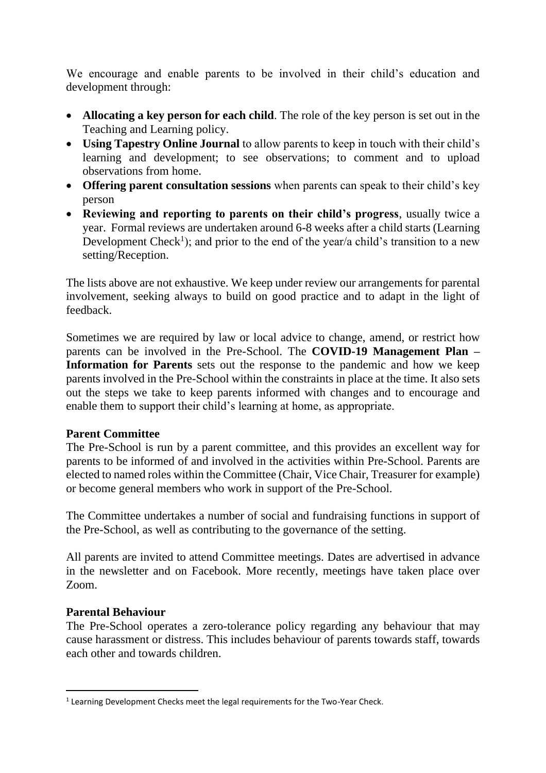We encourage and enable parents to be involved in their child's education and development through:

- **Allocating a key person for each child**. The role of the key person is set out in the Teaching and Learning policy.
- **Using Tapestry Online Journal** to allow parents to keep in touch with their child's learning and development; to see observations; to comment and to upload observations from home.
- **Offering parent consultation sessions** when parents can speak to their child's key person
- **Reviewing and reporting to parents on their child's progress**, usually twice a year. Formal reviews are undertaken around 6-8 weeks after a child starts (Learning Development Check<sup>1</sup>); and prior to the end of the year/a child's transition to a new setting/Reception.

The lists above are not exhaustive. We keep under review our arrangements for parental involvement, seeking always to build on good practice and to adapt in the light of feedback.

Sometimes we are required by law or local advice to change, amend, or restrict how parents can be involved in the Pre-School. The **COVID-19 Management Plan – Information for Parents** sets out the response to the pandemic and how we keep parents involved in the Pre-School within the constraints in place at the time. It also sets out the steps we take to keep parents informed with changes and to encourage and enable them to support their child's learning at home, as appropriate.

#### **Parent Committee**

The Pre-School is run by a parent committee, and this provides an excellent way for parents to be informed of and involved in the activities within Pre-School. Parents are elected to named roles within the Committee (Chair, Vice Chair, Treasurer for example) or become general members who work in support of the Pre-School.

The Committee undertakes a number of social and fundraising functions in support of the Pre-School, as well as contributing to the governance of the setting.

All parents are invited to attend Committee meetings. Dates are advertised in advance in the newsletter and on Facebook. More recently, meetings have taken place over Zoom.

#### **Parental Behaviour**

The Pre-School operates a zero-tolerance policy regarding any behaviour that may cause harassment or distress. This includes behaviour of parents towards staff, towards each other and towards children.

 $<sup>1</sup>$  Learning Development Checks meet the legal requirements for the Two-Year Check.</sup>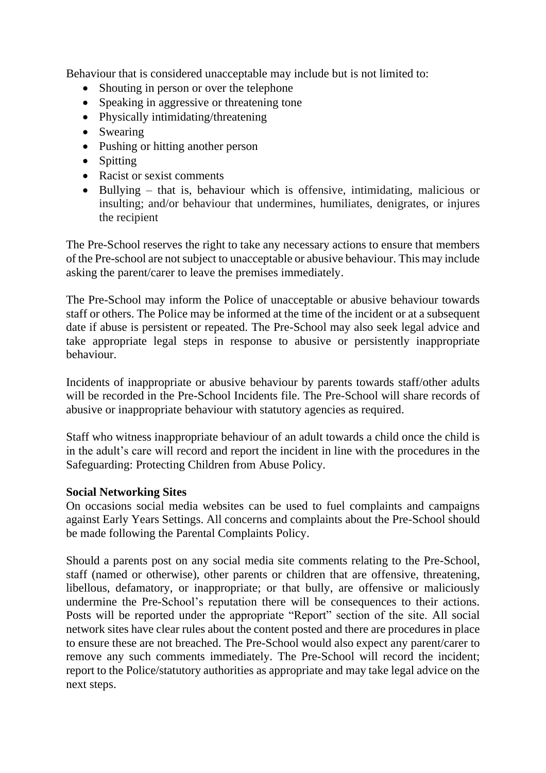Behaviour that is considered unacceptable may include but is not limited to:

- Shouting in person or over the telephone
- Speaking in aggressive or threatening tone
- Physically intimidating/threatening
- Swearing
- Pushing or hitting another person
- Spitting
- Racist or sexist comments
- Bullying that is, behaviour which is offensive, intimidating, malicious or insulting; and/or behaviour that undermines, humiliates, denigrates, or injures the recipient

The Pre-School reserves the right to take any necessary actions to ensure that members of the Pre-school are not subject to unacceptable or abusive behaviour. This may include asking the parent/carer to leave the premises immediately.

The Pre-School may inform the Police of unacceptable or abusive behaviour towards staff or others. The Police may be informed at the time of the incident or at a subsequent date if abuse is persistent or repeated. The Pre-School may also seek legal advice and take appropriate legal steps in response to abusive or persistently inappropriate behaviour.

Incidents of inappropriate or abusive behaviour by parents towards staff/other adults will be recorded in the Pre-School Incidents file. The Pre-School will share records of abusive or inappropriate behaviour with statutory agencies as required.

Staff who witness inappropriate behaviour of an adult towards a child once the child is in the adult's care will record and report the incident in line with the procedures in the Safeguarding: Protecting Children from Abuse Policy.

#### **Social Networking Sites**

On occasions social media websites can be used to fuel complaints and campaigns against Early Years Settings. All concerns and complaints about the Pre-School should be made following the Parental Complaints Policy.

Should a parents post on any social media site comments relating to the Pre-School, staff (named or otherwise), other parents or children that are offensive, threatening, libellous, defamatory, or inappropriate; or that bully, are offensive or maliciously undermine the Pre-School's reputation there will be consequences to their actions. Posts will be reported under the appropriate "Report" section of the site. All social network sites have clear rules about the content posted and there are procedures in place to ensure these are not breached. The Pre-School would also expect any parent/carer to remove any such comments immediately. The Pre-School will record the incident; report to the Police/statutory authorities as appropriate and may take legal advice on the next steps.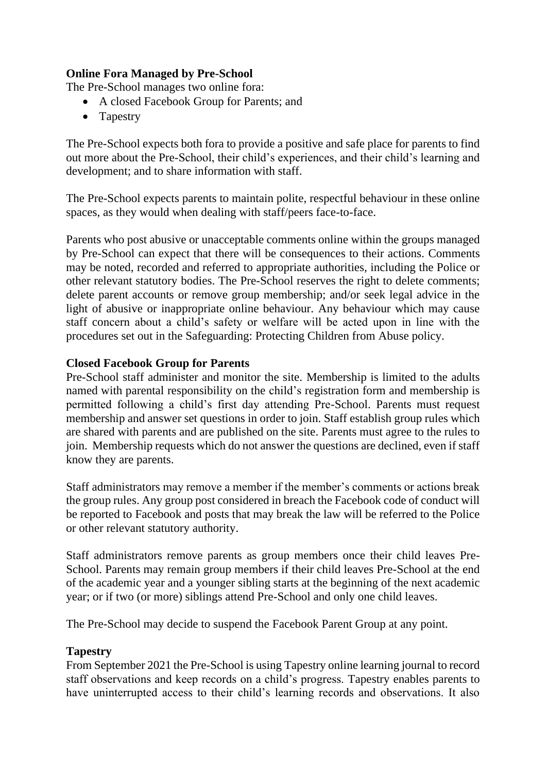## **Online Fora Managed by Pre-School**

The Pre-School manages two online fora:

- A closed Facebook Group for Parents; and
- Tapestry

The Pre-School expects both fora to provide a positive and safe place for parents to find out more about the Pre-School, their child's experiences, and their child's learning and development; and to share information with staff.

The Pre-School expects parents to maintain polite, respectful behaviour in these online spaces, as they would when dealing with staff/peers face-to-face.

Parents who post abusive or unacceptable comments online within the groups managed by Pre-School can expect that there will be consequences to their actions. Comments may be noted, recorded and referred to appropriate authorities, including the Police or other relevant statutory bodies. The Pre-School reserves the right to delete comments; delete parent accounts or remove group membership; and/or seek legal advice in the light of abusive or inappropriate online behaviour. Any behaviour which may cause staff concern about a child's safety or welfare will be acted upon in line with the procedures set out in the Safeguarding: Protecting Children from Abuse policy.

#### **Closed Facebook Group for Parents**

Pre-School staff administer and monitor the site. Membership is limited to the adults named with parental responsibility on the child's registration form and membership is permitted following a child's first day attending Pre-School. Parents must request membership and answer set questions in order to join. Staff establish group rules which are shared with parents and are published on the site. Parents must agree to the rules to join. Membership requests which do not answer the questions are declined, even if staff know they are parents.

Staff administrators may remove a member if the member's comments or actions break the group rules. Any group post considered in breach the Facebook code of conduct will be reported to Facebook and posts that may break the law will be referred to the Police or other relevant statutory authority.

Staff administrators remove parents as group members once their child leaves Pre-School. Parents may remain group members if their child leaves Pre-School at the end of the academic year and a younger sibling starts at the beginning of the next academic year; or if two (or more) siblings attend Pre-School and only one child leaves.

The Pre-School may decide to suspend the Facebook Parent Group at any point.

#### **Tapestry**

From September 2021 the Pre-School is using Tapestry online learning journal to record staff observations and keep records on a child's progress. Tapestry enables parents to have uninterrupted access to their child's learning records and observations. It also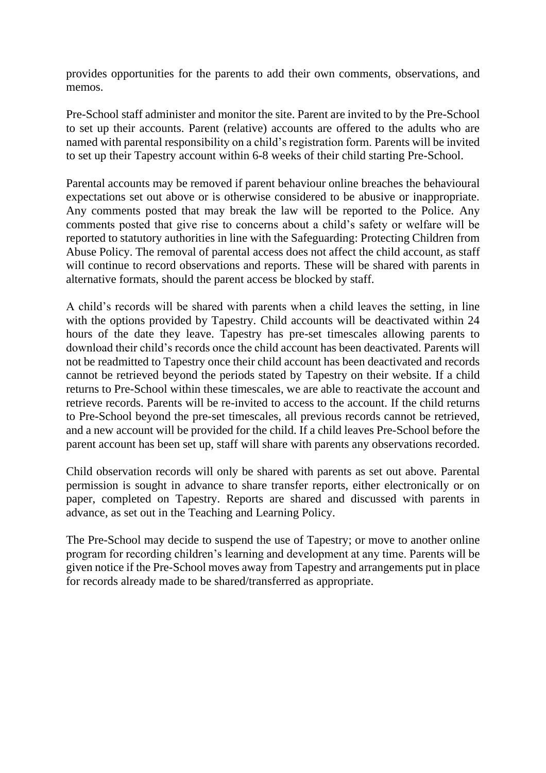provides opportunities for the parents to add their own comments, observations, and memos.

Pre-School staff administer and monitor the site. Parent are invited to by the Pre-School to set up their accounts. Parent (relative) accounts are offered to the adults who are named with parental responsibility on a child's registration form. Parents will be invited to set up their Tapestry account within 6-8 weeks of their child starting Pre-School.

Parental accounts may be removed if parent behaviour online breaches the behavioural expectations set out above or is otherwise considered to be abusive or inappropriate. Any comments posted that may break the law will be reported to the Police. Any comments posted that give rise to concerns about a child's safety or welfare will be reported to statutory authorities in line with the Safeguarding: Protecting Children from Abuse Policy. The removal of parental access does not affect the child account, as staff will continue to record observations and reports. These will be shared with parents in alternative formats, should the parent access be blocked by staff.

A child's records will be shared with parents when a child leaves the setting, in line with the options provided by Tapestry. Child accounts will be deactivated within 24 hours of the date they leave. Tapestry has pre-set timescales allowing parents to download their child's records once the child account has been deactivated. Parents will not be readmitted to Tapestry once their child account has been deactivated and records cannot be retrieved beyond the periods stated by Tapestry on their website. If a child returns to Pre-School within these timescales, we are able to reactivate the account and retrieve records. Parents will be re-invited to access to the account. If the child returns to Pre-School beyond the pre-set timescales, all previous records cannot be retrieved, and a new account will be provided for the child. If a child leaves Pre-School before the parent account has been set up, staff will share with parents any observations recorded.

Child observation records will only be shared with parents as set out above. Parental permission is sought in advance to share transfer reports, either electronically or on paper, completed on Tapestry. Reports are shared and discussed with parents in advance, as set out in the Teaching and Learning Policy.

The Pre-School may decide to suspend the use of Tapestry; or move to another online program for recording children's learning and development at any time. Parents will be given notice if the Pre-School moves away from Tapestry and arrangements put in place for records already made to be shared/transferred as appropriate.